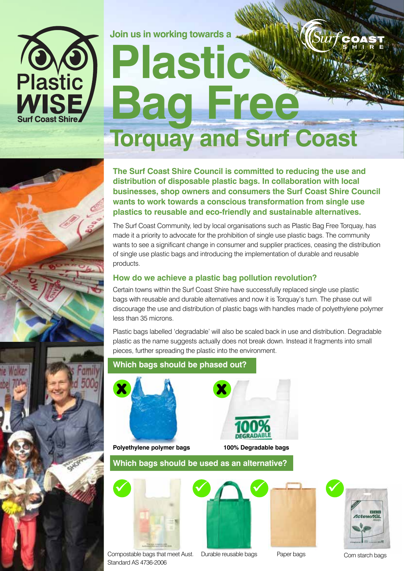

## **Join us in working towards a**   $\sqrt{\frac{Surt}}$ **Plastic Bag Free Torquay and Surf Coast**

**The Surf Coast Shire Council is committed to reducing the use and distribution of disposable plastic bags. In collaboration with local businesses, shop owners and consumers the Surf Coast Shire Council wants to work towards a conscious transformation from single use plastics to reusable and eco-friendly and sustainable alternatives.**

The Surf Coast Community, led by local organisations such as Plastic Bag Free Torquay, has made it a priority to advocate for the prohibition of single use plastic bags. The community wants to see a significant change in consumer and supplier practices, ceasing the distribution of single use plastic bags and introducing the implementation of durable and reusable products.

## **How do we achieve a plastic bag pollution revolution?**

Certain towns within the Surf Coast Shire have successfully replaced single use plastic bags with reusable and durable alternatives and now it is Torquay's turn. The phase out will discourage the use and distribution of plastic bags with handles made of polyethylene polymer less than 35 microns.

Plastic bags labelled 'degradable' will also be scaled back in use and distribution. Degradable plastic as the name suggests actually does not break down. Instead it fragments into small pieces, further spreading the plastic into the environment.



## **Which bags should be phased out?**



**Polyethylene polymer bags 100% Degradable bags** 



**Which bags should be used as an alternative?**